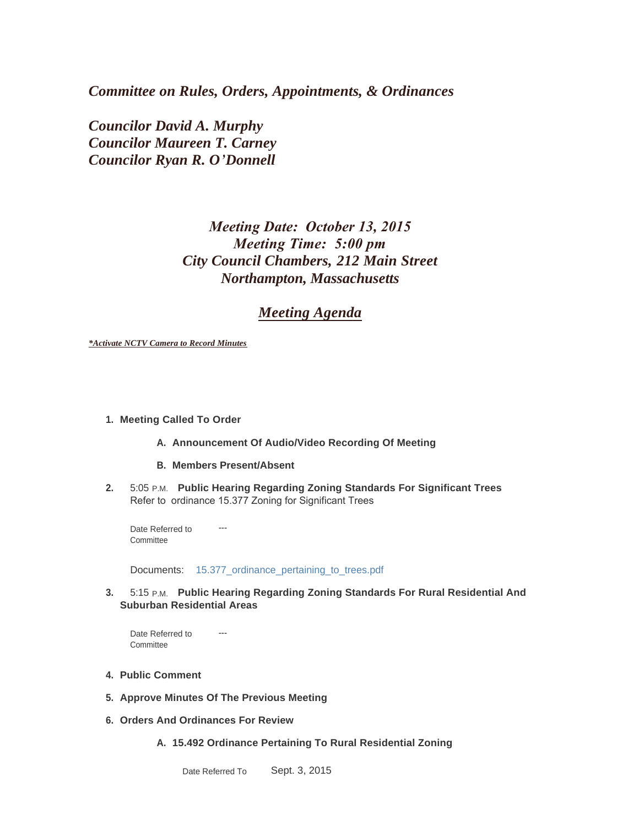*Committee on Rules, Orders, Appointments, & Ordinances*

*Councilor David A. Murphy Councilor Maureen T. Carney Councilor Ryan R. O'Donnell*

# *Meeting Date: October 13, 2015 Meeting Time: 5:00 pm City Council Chambers, 212 Main Street Northampton, Massachusetts*

## *Meeting Agenda*

*\*Activate NCTV Camera to Record Minutes*

#### **Meeting Called To Order 1.**

- A. Announcement Of Audio/Video Recording Of Meeting
- **Members Present/Absent B.**
- **Public Hearing Regarding Zoning Standards For Significant Trees 2.** 5:05 P.M. Refer to ordinance 15.377 Zoning for Significant Trees

--- Date Referred to **Committee** 

Documents: [15.377\\_ordinance\\_pertaining\\_to\\_trees.pdf](http://northamptonma.gov/AgendaCenter/ViewFile/Item/1899?fileID=45842)

**3.** 5:15 P.M. Public Hearing Regarding Zoning Standards For Rural Residential And **Suburban Residential Areas**

--- Date Referred to **Committee** 

- **Public Comment 4.**
- **Approve Minutes Of The Previous Meeting 5.**
- **Orders And Ordinances For Review 6.**
	- **15.492 Ordinance Pertaining To Rural Residential Zoning A.**

Sept. 3, 2015 Date Referred To